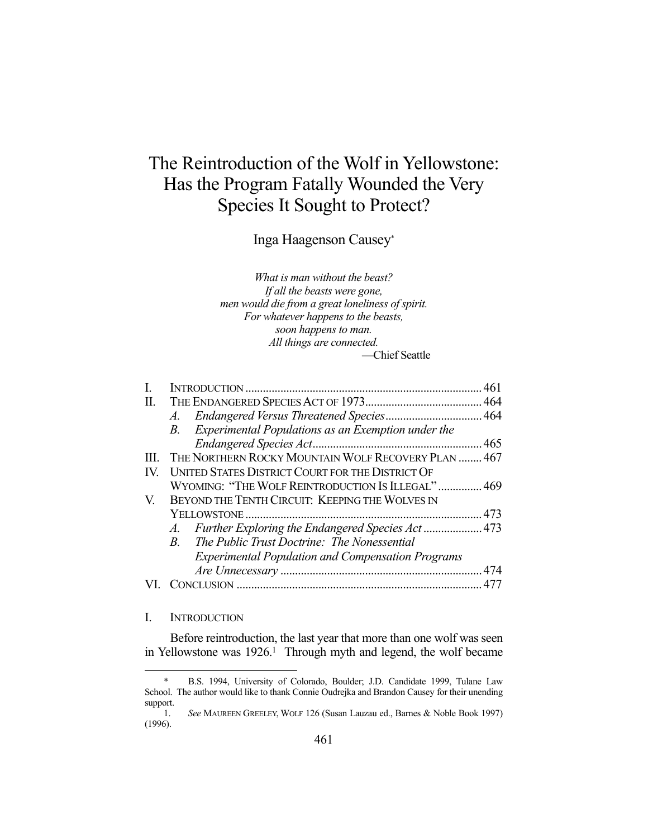# The Reintroduction of the Wolf in Yellowstone: Has the Program Fatally Wounded the Very Species It Sought to Protect?

Inga Haagenson Causey\*

*What is man without the beast? If all the beasts were gone, men would die from a great loneliness of spirit. For whatever happens to the beasts, soon happens to man. All things are connected.*  —Chief Seattle

|     |                                                          | 461 |
|-----|----------------------------------------------------------|-----|
| H.  |                                                          |     |
|     |                                                          |     |
|     | B. Experimental Populations as an Exemption under the    |     |
|     |                                                          |     |
| HL. | THE NORTHERN ROCKY MOUNTAIN WOLF RECOVERY PLAN  467      |     |
| IV. | UNITED STATES DISTRICT COURT FOR THE DISTRICT OF         |     |
|     | WYOMING: "THE WOLF REINTRODUCTION IS ILLEGAL"  469       |     |
| V.  | BEYOND THE TENTH CIRCUIT: KEEPING THE WOLVES IN          |     |
|     |                                                          |     |
|     |                                                          |     |
|     | B. The Public Trust Doctrine: The Nonessential           |     |
|     | <b>Experimental Population and Compensation Programs</b> |     |
|     |                                                          |     |
|     | ONCLUSION                                                |     |

#### I. INTRODUCTION

<u>.</u>

 Before reintroduction, the last year that more than one wolf was seen in Yellowstone was 1926.<sup>1</sup> Through myth and legend, the wolf became

 <sup>\*</sup> B.S. 1994, University of Colorado, Boulder; J.D. Candidate 1999, Tulane Law School. The author would like to thank Connie Oudrejka and Brandon Causey for their unending support.

 <sup>1.</sup> *See* MAUREEN GREELEY, WOLF 126 (Susan Lauzau ed., Barnes & Noble Book 1997) (1996).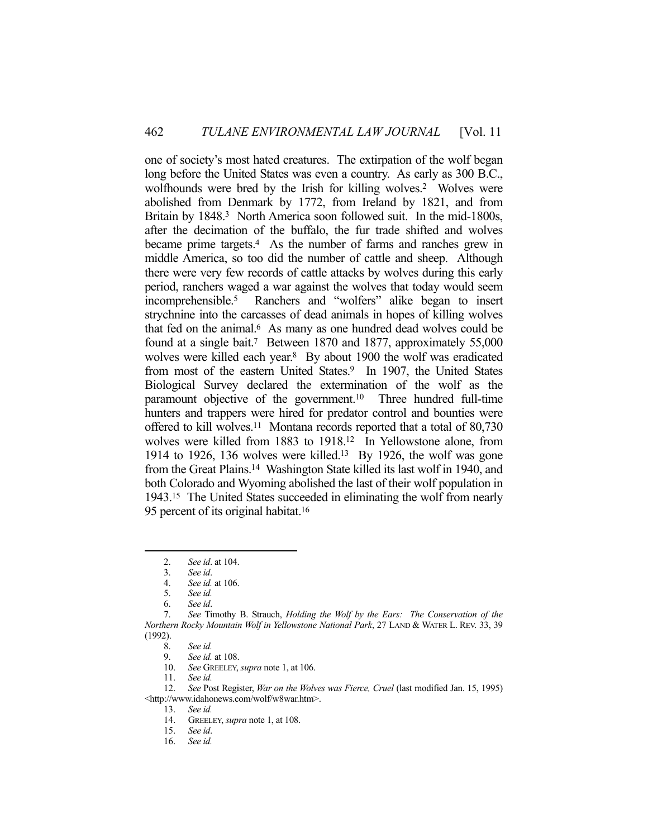one of society's most hated creatures. The extirpation of the wolf began long before the United States was even a country. As early as 300 B.C., wolfhounds were bred by the Irish for killing wolves.<sup>2</sup> Wolves were abolished from Denmark by 1772, from Ireland by 1821, and from Britain by 1848.<sup>3</sup> North America soon followed suit. In the mid-1800s, after the decimation of the buffalo, the fur trade shifted and wolves became prime targets.4 As the number of farms and ranches grew in middle America, so too did the number of cattle and sheep. Although there were very few records of cattle attacks by wolves during this early period, ranchers waged a war against the wolves that today would seem incomprehensible.5 Ranchers and "wolfers" alike began to insert strychnine into the carcasses of dead animals in hopes of killing wolves that fed on the animal.<sup>6</sup> As many as one hundred dead wolves could be found at a single bait.7 Between 1870 and 1877, approximately 55,000 wolves were killed each year.<sup>8</sup> By about 1900 the wolf was eradicated from most of the eastern United States.<sup>9</sup> In 1907, the United States Biological Survey declared the extermination of the wolf as the paramount objective of the government.10 Three hundred full-time hunters and trappers were hired for predator control and bounties were offered to kill wolves.11 Montana records reported that a total of 80,730 wolves were killed from 1883 to 1918.12 In Yellowstone alone, from 1914 to 1926, 136 wolves were killed.13 By 1926, the wolf was gone from the Great Plains.14 Washington State killed its last wolf in 1940, and both Colorado and Wyoming abolished the last of their wolf population in 1943.15 The United States succeeded in eliminating the wolf from nearly 95 percent of its original habitat.<sup>16</sup>

 <sup>2.</sup> *See id*. at 104.

 <sup>3.</sup> *See id*.

 <sup>4.</sup> *See id.* at 106.

 <sup>5.</sup> *See id.*

 <sup>6.</sup> *See id*.

 <sup>7.</sup> *See* Timothy B. Strauch, *Holding the Wolf by the Ears: The Conservation of the Northern Rocky Mountain Wolf in Yellowstone National Park*, 27 LAND & WATER L. REV. 33, 39  $(1992).$ <br>8.

 <sup>8.</sup> *See id.* 

 <sup>9.</sup> *See id.* at 108.

 <sup>10.</sup> *See* GREELEY, *supra* note 1, at 106.

 <sup>11.</sup> *See id.* 

 <sup>12.</sup> *See* Post Register, *War on the Wolves was Fierce, Cruel* (last modified Jan. 15, 1995) <http://www.idahonews.com/wolf/w8war.htm>.

 <sup>13.</sup> *See id.* 

 <sup>14.</sup> GREELEY, *supra* note 1, at 108.

 <sup>15.</sup> *See id*.

 <sup>16.</sup> *See id.*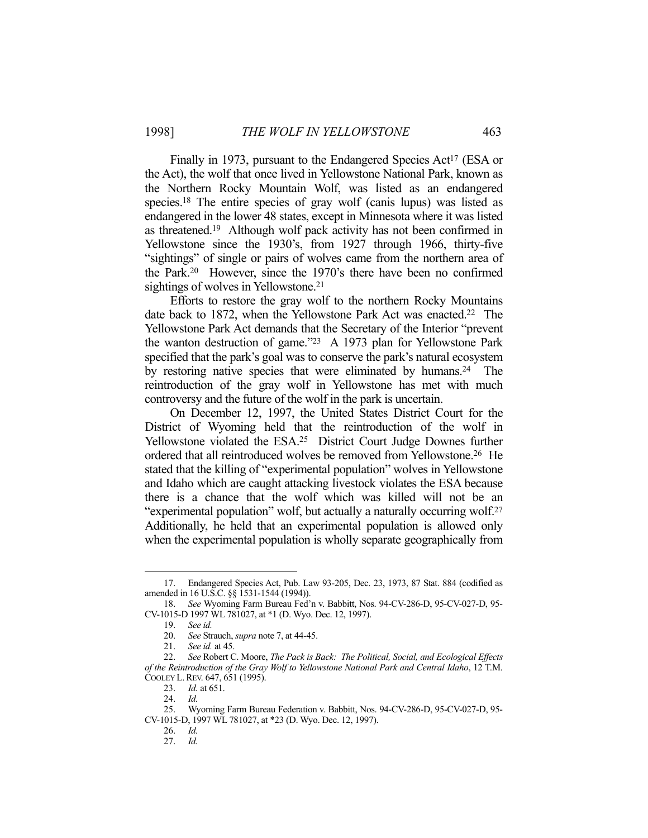Finally in 1973, pursuant to the Endangered Species Act<sup>17</sup> (ESA or the Act), the wolf that once lived in Yellowstone National Park, known as the Northern Rocky Mountain Wolf, was listed as an endangered species.18 The entire species of gray wolf (canis lupus) was listed as endangered in the lower 48 states, except in Minnesota where it was listed as threatened.19 Although wolf pack activity has not been confirmed in Yellowstone since the 1930's, from 1927 through 1966, thirty-five "sightings" of single or pairs of wolves came from the northern area of the Park.20 However, since the 1970's there have been no confirmed sightings of wolves in Yellowstone.<sup>21</sup>

 Efforts to restore the gray wolf to the northern Rocky Mountains date back to 1872, when the Yellowstone Park Act was enacted.<sup>22</sup> The Yellowstone Park Act demands that the Secretary of the Interior "prevent the wanton destruction of game."23 A 1973 plan for Yellowstone Park specified that the park's goal was to conserve the park's natural ecosystem by restoring native species that were eliminated by humans.<sup>24</sup> The reintroduction of the gray wolf in Yellowstone has met with much controversy and the future of the wolf in the park is uncertain.

 On December 12, 1997, the United States District Court for the District of Wyoming held that the reintroduction of the wolf in Yellowstone violated the ESA.<sup>25</sup> District Court Judge Downes further ordered that all reintroduced wolves be removed from Yellowstone.26 He stated that the killing of "experimental population" wolves in Yellowstone and Idaho which are caught attacking livestock violates the ESA because there is a chance that the wolf which was killed will not be an "experimental population" wolf, but actually a naturally occurring wolf.27 Additionally, he held that an experimental population is allowed only when the experimental population is wholly separate geographically from

 <sup>17.</sup> Endangered Species Act, Pub. Law 93-205, Dec. 23, 1973, 87 Stat. 884 (codified as amended in 16 U.S.C. §§ 1531-1544 (1994)).

 <sup>18.</sup> *See* Wyoming Farm Bureau Fed'n v. Babbitt, Nos. 94-CV-286-D, 95-CV-027-D, 95- CV-1015-D 1997 WL 781027, at \*1 (D. Wyo. Dec. 12, 1997).

 <sup>19.</sup> *See id.*

 <sup>20.</sup> *See* Strauch, *supra* note 7, at 44-45.

 <sup>21.</sup> *See id.* at 45.

 <sup>22.</sup> *See* Robert C. Moore, *The Pack is Back: The Political, Social, and Ecological Effects of the Reintroduction of the Gray Wolf to Yellowstone National Park and Central Idaho*, 12 T.M. COOLEY L.REV. 647, 651 (1995).

 <sup>23.</sup> *Id.* at 651.

 <sup>24.</sup> *Id.*

 <sup>25.</sup> Wyoming Farm Bureau Federation v. Babbitt, Nos. 94-CV-286-D, 95-CV-027-D, 95- CV-1015-D, 1997 WL 781027, at \*23 (D. Wyo. Dec. 12, 1997).

 <sup>26.</sup> *Id.*

 <sup>27.</sup> *Id.*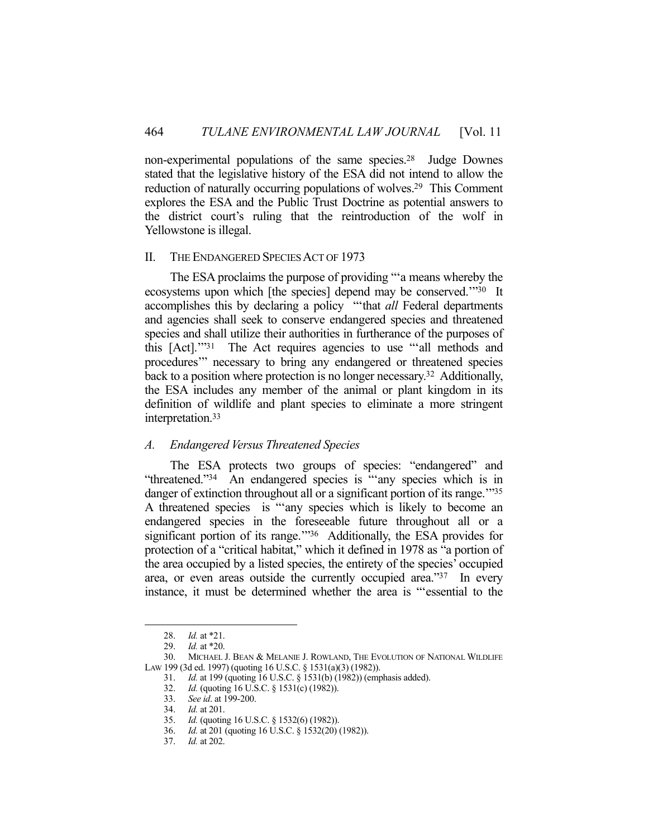non-experimental populations of the same species.28 Judge Downes stated that the legislative history of the ESA did not intend to allow the reduction of naturally occurring populations of wolves.29 This Comment explores the ESA and the Public Trust Doctrine as potential answers to the district court's ruling that the reintroduction of the wolf in Yellowstone is illegal.

#### II. THE ENDANGERED SPECIES ACT OF 1973

 The ESA proclaims the purpose of providing "'a means whereby the ecosystems upon which [the species] depend may be conserved.'"30 It accomplishes this by declaring a policy "'that *all* Federal departments and agencies shall seek to conserve endangered species and threatened species and shall utilize their authorities in furtherance of the purposes of this [Act].'"31 The Act requires agencies to use "'all methods and procedures'" necessary to bring any endangered or threatened species back to a position where protection is no longer necessary.32 Additionally, the ESA includes any member of the animal or plant kingdom in its definition of wildlife and plant species to eliminate a more stringent interpretation.33

#### *A. Endangered Versus Threatened Species*

 The ESA protects two groups of species: "endangered" and "threatened."34 An endangered species is "'any species which is in danger of extinction throughout all or a significant portion of its range.<sup>1135</sup> A threatened species is "'any species which is likely to become an endangered species in the foreseeable future throughout all or a significant portion of its range."<sup>36</sup> Additionally, the ESA provides for protection of a "critical habitat," which it defined in 1978 as "a portion of the area occupied by a listed species, the entirety of the species' occupied area, or even areas outside the currently occupied area."37 In every instance, it must be determined whether the area is "'essential to the

<u>.</u>

37. *Id.* at 202.

 <sup>28.</sup> *Id.* at \*21.

 <sup>29.</sup> *Id.* at \*20.

 <sup>30.</sup> MICHAEL J. BEAN & MELANIE J. ROWLAND, THE EVOLUTION OF NATIONAL WILDLIFE LAW 199 (3d ed. 1997) (quoting 16 U.S.C. § 1531(a)(3) (1982)).

 <sup>31.</sup> *Id.* at 199 (quoting 16 U.S.C. § 1531(b) (1982)) (emphasis added).

 <sup>32.</sup> *Id.* (quoting 16 U.S.C. § 1531(c) (1982)).

 <sup>33.</sup> *See id*. at 199-200.

 <sup>34.</sup> *Id.* at 201.

 <sup>35.</sup> *Id.* (quoting 16 U.S.C. § 1532(6) (1982)).

 <sup>36.</sup> *Id.* at 201 (quoting 16 U.S.C. § 1532(20) (1982)).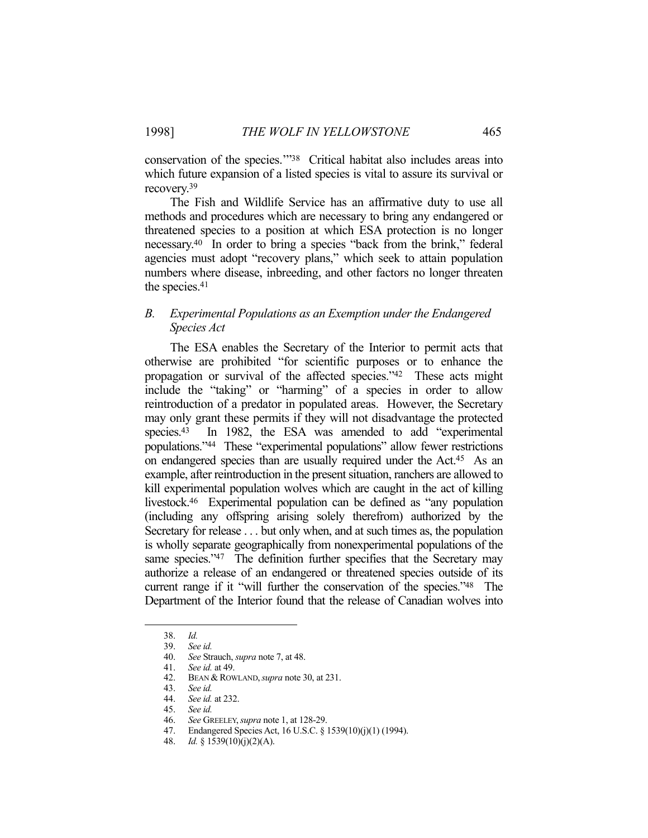conservation of the species.'"38 Critical habitat also includes areas into which future expansion of a listed species is vital to assure its survival or recovery.39

 The Fish and Wildlife Service has an affirmative duty to use all methods and procedures which are necessary to bring any endangered or threatened species to a position at which ESA protection is no longer necessary.40 In order to bring a species "back from the brink," federal agencies must adopt "recovery plans," which seek to attain population numbers where disease, inbreeding, and other factors no longer threaten the species.41

## *B. Experimental Populations as an Exemption under the Endangered Species Act*

 The ESA enables the Secretary of the Interior to permit acts that otherwise are prohibited "for scientific purposes or to enhance the propagation or survival of the affected species."42 These acts might include the "taking" or "harming" of a species in order to allow reintroduction of a predator in populated areas. However, the Secretary may only grant these permits if they will not disadvantage the protected species.<sup>43</sup> In 1982, the ESA was amended to add "experimental populations."44These "experimental populations" allow fewer restrictions on endangered species than are usually required under the Act.45 As an example, after reintroduction in the present situation, ranchers are allowed to kill experimental population wolves which are caught in the act of killing livestock.46 Experimental population can be defined as "any population (including any offspring arising solely therefrom) authorized by the Secretary for release . . . but only when, and at such times as, the population is wholly separate geographically from nonexperimental populations of the same species."47 The definition further specifies that the Secretary may authorize a release of an endangered or threatened species outside of its current range if it "will further the conservation of the species."48 The Department of the Interior found that the release of Canadian wolves into

 <sup>38.</sup> *Id.*  39. *See id.*

 <sup>40.</sup> *See* Strauch, *supra* note 7, at 48.

 <sup>41.</sup> *See id.* at 49.

 <sup>42.</sup> BEAN & ROWLAND,*supra* note 30, at 231.

 <sup>43.</sup> *See id.*

 <sup>44.</sup> *See id.* at 232.

 <sup>45.</sup> *See id.*

 <sup>46.</sup> *See* GREELEY,*supra* note 1, at 128-29.

 <sup>47.</sup> Endangered Species Act, 16 U.S.C. § 1539(10)(j)(1) (1994).

 <sup>48.</sup> *Id.* § 1539(10)(j)(2)(A).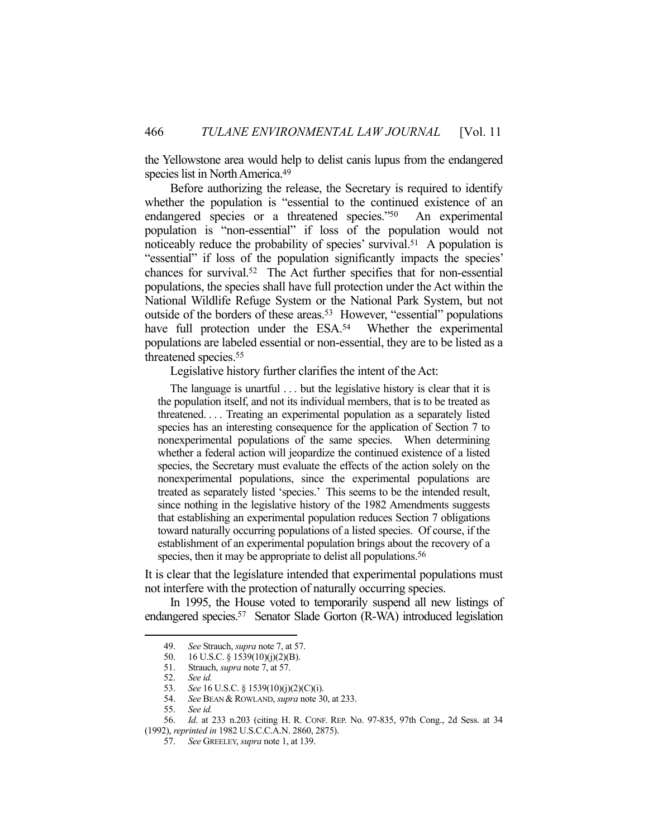the Yellowstone area would help to delist canis lupus from the endangered species list in North America.<sup>49</sup>

 Before authorizing the release, the Secretary is required to identify whether the population is "essential to the continued existence of an endangered species or a threatened species."50 An experimental population is "non-essential" if loss of the population would not noticeably reduce the probability of species' survival.<sup>51</sup> A population is "essential" if loss of the population significantly impacts the species' chances for survival.52 The Act further specifies that for non-essential populations, the species shall have full protection under the Act within the National Wildlife Refuge System or the National Park System, but not outside of the borders of these areas.<sup>53</sup> However, "essential" populations have full protection under the ESA.<sup>54</sup> Whether the experimental populations are labeled essential or non-essential, they are to be listed as a threatened species.55

Legislative history further clarifies the intent of the Act:

The language is unartful . . . but the legislative history is clear that it is the population itself, and not its individual members, that is to be treated as threatened. . . . Treating an experimental population as a separately listed species has an interesting consequence for the application of Section 7 to nonexperimental populations of the same species. When determining whether a federal action will jeopardize the continued existence of a listed species, the Secretary must evaluate the effects of the action solely on the nonexperimental populations, since the experimental populations are treated as separately listed 'species.' This seems to be the intended result, since nothing in the legislative history of the 1982 Amendments suggests that establishing an experimental population reduces Section 7 obligations toward naturally occurring populations of a listed species. Of course, if the establishment of an experimental population brings about the recovery of a species, then it may be appropriate to delist all populations.<sup>56</sup>

It is clear that the legislature intended that experimental populations must not interfere with the protection of naturally occurring species.

 In 1995, the House voted to temporarily suspend all new listings of endangered species.57 Senator Slade Gorton (R-WA) introduced legislation

 <sup>49.</sup> *See* Strauch, *supra* note 7, at 57.

 <sup>50. 16</sup> U.S.C. § 1539(10)(j)(2)(B).

 <sup>51.</sup> Strauch, *supra* note 7, at 57.

 <sup>52.</sup> *See id.* 

<sup>53.</sup> *See* 16 U.S.C. § 1539(10)(j)(2)(C)(i).<br>54. *See* BEAN & ROWLAND, *supra* note 30 See BEAN & ROWLAND, *supra* note 30, at 233.

 <sup>55.</sup> *See id.*

 <sup>56.</sup> *Id*. at 233 n.203 (citing H. R. CONF. REP. No. 97-835, 97th Cong., 2d Sess. at 34 (1992), *reprinted in* 1982 U.S.C.C.A.N. 2860, 2875).

 <sup>57.</sup> *See* GREELEY, *supra* note 1, at 139.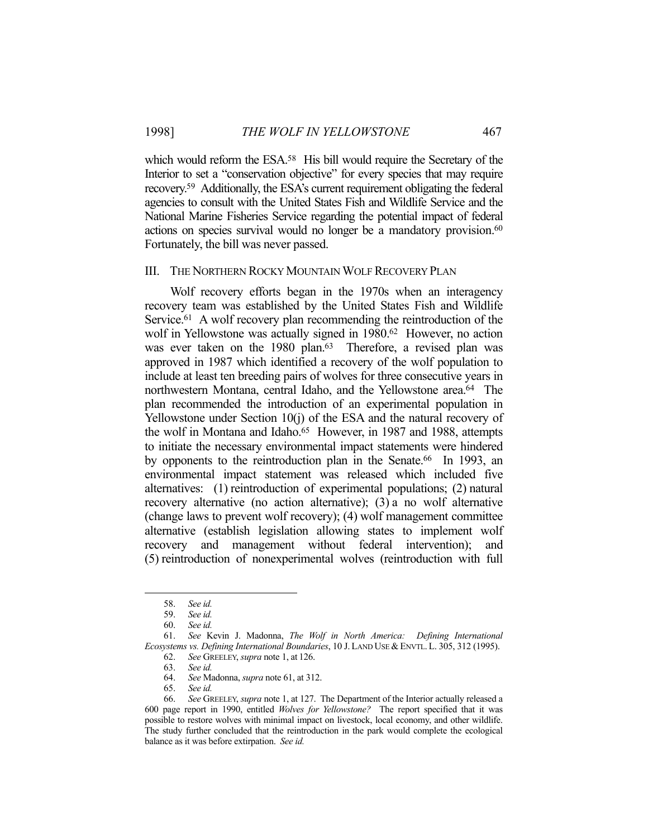which would reform the ESA.<sup>58</sup> His bill would require the Secretary of the Interior to set a "conservation objective" for every species that may require recovery.59 Additionally, the ESA's current requirement obligating the federal agencies to consult with the United States Fish and Wildlife Service and the National Marine Fisheries Service regarding the potential impact of federal actions on species survival would no longer be a mandatory provision.<sup>60</sup> Fortunately, the bill was never passed.

#### III. THE NORTHERN ROCKY MOUNTAIN WOLF RECOVERY PLAN

 Wolf recovery efforts began in the 1970s when an interagency recovery team was established by the United States Fish and Wildlife Service.<sup>61</sup> A wolf recovery plan recommending the reintroduction of the wolf in Yellowstone was actually signed in 1980.<sup>62</sup> However, no action was ever taken on the 1980 plan.<sup>63</sup> Therefore, a revised plan was approved in 1987 which identified a recovery of the wolf population to include at least ten breeding pairs of wolves for three consecutive years in northwestern Montana, central Idaho, and the Yellowstone area.64 The plan recommended the introduction of an experimental population in Yellowstone under Section 10(j) of the ESA and the natural recovery of the wolf in Montana and Idaho.<sup>65</sup> However, in 1987 and 1988, attempts to initiate the necessary environmental impact statements were hindered by opponents to the reintroduction plan in the Senate.<sup>66</sup> In 1993, an environmental impact statement was released which included five alternatives: (1) reintroduction of experimental populations; (2) natural recovery alternative (no action alternative); (3) a no wolf alternative (change laws to prevent wolf recovery); (4) wolf management committee alternative (establish legislation allowing states to implement wolf recovery and management without federal intervention); and (5) reintroduction of nonexperimental wolves (reintroduction with full

1

65. *See id.* 

 <sup>58.</sup> *See id.* 

 <sup>59.</sup> *See id.* 

 <sup>60.</sup> *See id.* 

 <sup>61.</sup> *See* Kevin J. Madonna, *The Wolf in North America: Defining International Ecosystems vs. Defining International Boundaries*, 10 J. LAND USE &ENVTL. L. 305, 312 (1995). 62. *See* GREELEY, *supra* note 1, at 126.

 <sup>63.</sup> *See id.* 

 <sup>64.</sup> *See* Madonna, *supra* note 61, at 312.

 <sup>66.</sup> *See* GREELEY, *supra* note 1, at 127. The Department of the Interior actually released a 600 page report in 1990, entitled *Wolves for Yellowstone?* The report specified that it was possible to restore wolves with minimal impact on livestock, local economy, and other wildlife. The study further concluded that the reintroduction in the park would complete the ecological balance as it was before extirpation. *See id.*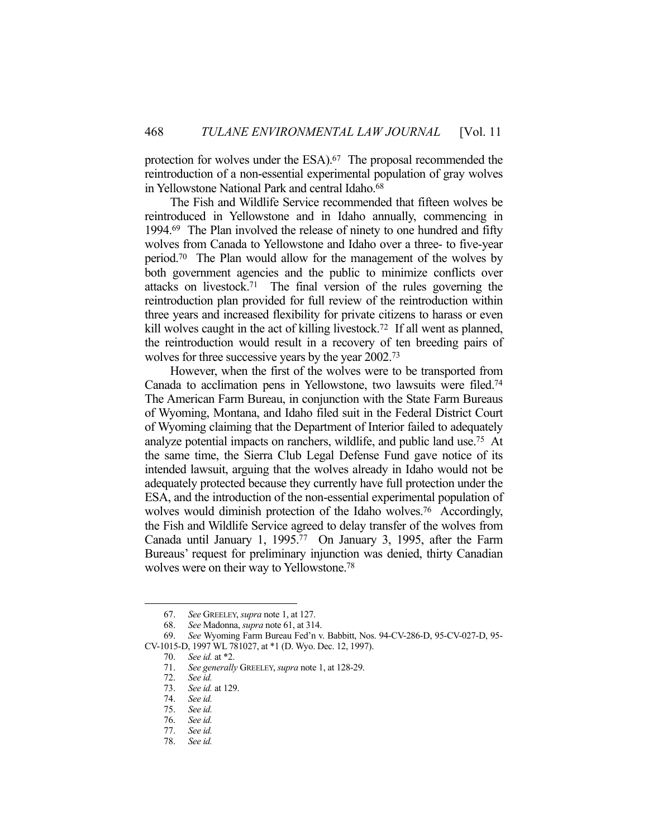protection for wolves under the ESA).<sup>67</sup> The proposal recommended the reintroduction of a non-essential experimental population of gray wolves in Yellowstone National Park and central Idaho.<sup>68</sup>

 The Fish and Wildlife Service recommended that fifteen wolves be reintroduced in Yellowstone and in Idaho annually, commencing in 1994.69 The Plan involved the release of ninety to one hundred and fifty wolves from Canada to Yellowstone and Idaho over a three- to five-year period.70 The Plan would allow for the management of the wolves by both government agencies and the public to minimize conflicts over attacks on livestock.71 The final version of the rules governing the reintroduction plan provided for full review of the reintroduction within three years and increased flexibility for private citizens to harass or even kill wolves caught in the act of killing livestock.72 If all went as planned, the reintroduction would result in a recovery of ten breeding pairs of wolves for three successive years by the year 2002.73

 However, when the first of the wolves were to be transported from Canada to acclimation pens in Yellowstone, two lawsuits were filed.74 The American Farm Bureau, in conjunction with the State Farm Bureaus of Wyoming, Montana, and Idaho filed suit in the Federal District Court of Wyoming claiming that the Department of Interior failed to adequately analyze potential impacts on ranchers, wildlife, and public land use.75 At the same time, the Sierra Club Legal Defense Fund gave notice of its intended lawsuit, arguing that the wolves already in Idaho would not be adequately protected because they currently have full protection under the ESA, and the introduction of the non-essential experimental population of wolves would diminish protection of the Idaho wolves.<sup>76</sup> Accordingly, the Fish and Wildlife Service agreed to delay transfer of the wolves from Canada until January 1, 1995.77 On January 3, 1995, after the Farm Bureaus' request for preliminary injunction was denied, thirty Canadian wolves were on their way to Yellowstone.78

 <sup>67.</sup> *See* GREELEY, *supra* note 1, at 127.

 <sup>68.</sup> *See* Madonna, *supra* note 61, at 314.

 <sup>69.</sup> *See* Wyoming Farm Bureau Fed'n v. Babbitt, Nos. 94-CV-286-D, 95-CV-027-D, 95- CV-1015-D, 1997 WL 781027, at \*1 (D. Wyo. Dec. 12, 1997).

 <sup>70.</sup> *See id.* at \*2.

 <sup>71.</sup> *See generally* GREELEY, *supra* note 1, at 128-29.

 <sup>72.</sup> *See id.*

 <sup>73.</sup> *See id.* at 129.

See id.

 <sup>75.</sup> *See id.*

 <sup>76.</sup> *See id.* 

 <sup>77.</sup> *See id.* 

 <sup>78.</sup> *See id.*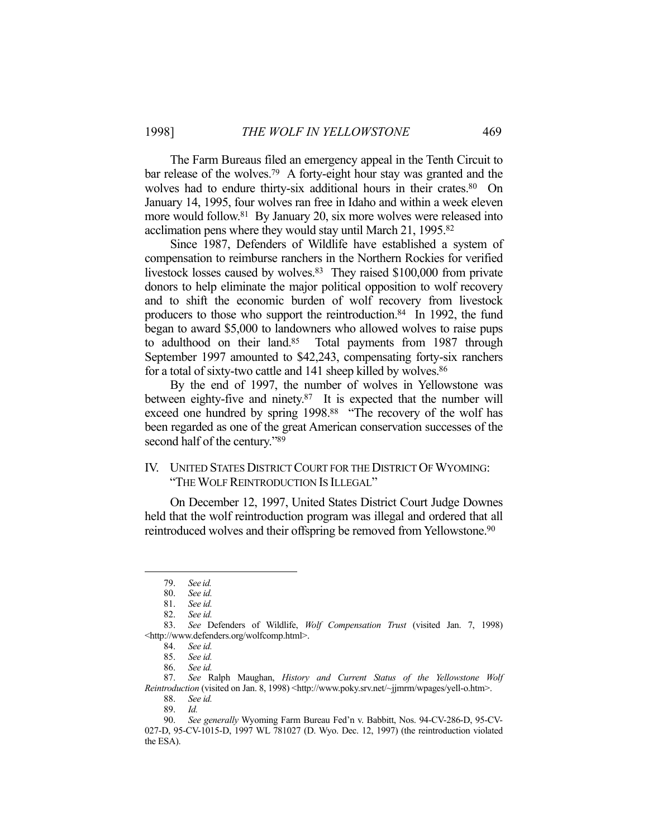The Farm Bureaus filed an emergency appeal in the Tenth Circuit to bar release of the wolves.79 A forty-eight hour stay was granted and the wolves had to endure thirty-six additional hours in their crates.<sup>80</sup> On January 14, 1995, four wolves ran free in Idaho and within a week eleven more would follow.<sup>81</sup> By January 20, six more wolves were released into acclimation pens where they would stay until March 21, 1995.82

 Since 1987, Defenders of Wildlife have established a system of compensation to reimburse ranchers in the Northern Rockies for verified livestock losses caused by wolves.<sup>83</sup> They raised \$100,000 from private donors to help eliminate the major political opposition to wolf recovery and to shift the economic burden of wolf recovery from livestock producers to those who support the reintroduction.<sup>84</sup> In 1992, the fund began to award \$5,000 to landowners who allowed wolves to raise pups to adulthood on their land.<sup>85</sup> Total payments from 1987 through September 1997 amounted to \$42,243, compensating forty-six ranchers for a total of sixty-two cattle and 141 sheep killed by wolves.<sup>86</sup>

 By the end of 1997, the number of wolves in Yellowstone was between eighty-five and ninety.<sup>87</sup> It is expected that the number will exceed one hundred by spring 1998.88 "The recovery of the wolf has been regarded as one of the great American conservation successes of the second half of the century."89

## IV. UNITED STATES DISTRICT COURT FOR THE DISTRICT OF WYOMING: "THE WOLF REINTRODUCTION IS ILLEGAL"

 On December 12, 1997, United States District Court Judge Downes held that the wolf reintroduction program was illegal and ordered that all reintroduced wolves and their offspring be removed from Yellowstone.90

 <sup>79.</sup> *See id.*

 <sup>80.</sup> *See id.* 

 <sup>81.</sup> *See id.* 

 <sup>82.</sup> *See id.* 

 <sup>83.</sup> *See* Defenders of Wildlife, *Wolf Compensation Trust* (visited Jan. 7, 1998) <http://www.defenders.org/wolfcomp.html>.

 <sup>84.</sup> *See id.* 

 <sup>85.</sup> *See id.* 

 <sup>86.</sup> *See id.* 

 <sup>87.</sup> *See* Ralph Maughan, *History and Current Status of the Yellowstone Wolf Reintroduction* (visited on Jan. 8, 1998) <http://www.poky.srv.net/~jjmrm/wpages/yell-o.htm>.

 <sup>88.</sup> *See id.* 

 <sup>89.</sup> *Id.* 

 <sup>90.</sup> *See generally* Wyoming Farm Bureau Fed'n v. Babbitt, Nos. 94-CV-286-D, 95-CV-027-D, 95-CV-1015-D, 1997 WL 781027 (D. Wyo. Dec. 12, 1997) (the reintroduction violated the ESA).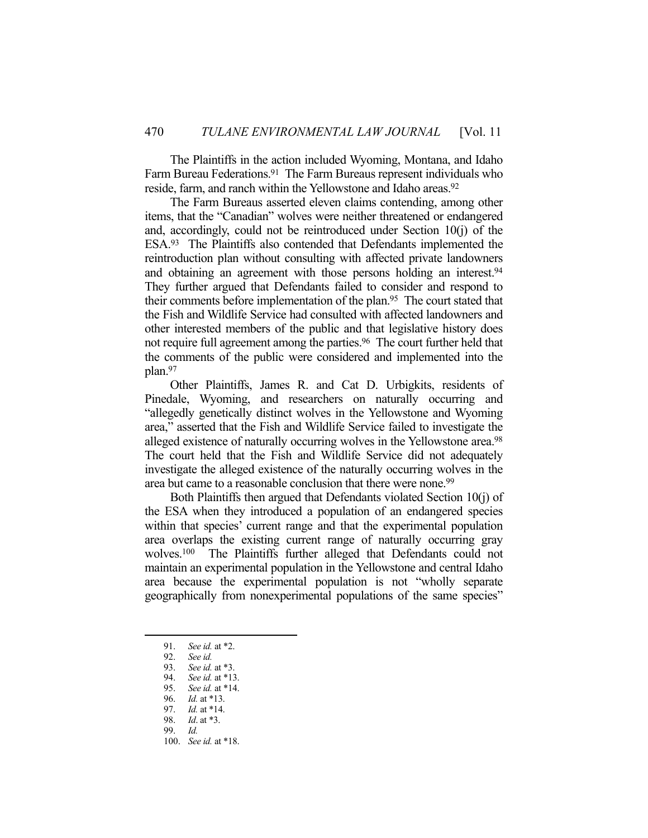The Plaintiffs in the action included Wyoming, Montana, and Idaho Farm Bureau Federations.<sup>91</sup> The Farm Bureaus represent individuals who reside, farm, and ranch within the Yellowstone and Idaho areas.<sup>92</sup>

 The Farm Bureaus asserted eleven claims contending, among other items, that the "Canadian" wolves were neither threatened or endangered and, accordingly, could not be reintroduced under Section 10(j) of the ESA.93 The Plaintiffs also contended that Defendants implemented the reintroduction plan without consulting with affected private landowners and obtaining an agreement with those persons holding an interest.<sup>94</sup> They further argued that Defendants failed to consider and respond to their comments before implementation of the plan.95 The court stated that the Fish and Wildlife Service had consulted with affected landowners and other interested members of the public and that legislative history does not require full agreement among the parties.<sup>96</sup> The court further held that the comments of the public were considered and implemented into the plan.97

 Other Plaintiffs, James R. and Cat D. Urbigkits, residents of Pinedale, Wyoming, and researchers on naturally occurring and "allegedly genetically distinct wolves in the Yellowstone and Wyoming area," asserted that the Fish and Wildlife Service failed to investigate the alleged existence of naturally occurring wolves in the Yellowstone area.<sup>98</sup> The court held that the Fish and Wildlife Service did not adequately investigate the alleged existence of the naturally occurring wolves in the area but came to a reasonable conclusion that there were none.<sup>99</sup>

 Both Plaintiffs then argued that Defendants violated Section 10(j) of the ESA when they introduced a population of an endangered species within that species' current range and that the experimental population area overlaps the existing current range of naturally occurring gray wolves.100 The Plaintiffs further alleged that Defendants could not maintain an experimental population in the Yellowstone and central Idaho area because the experimental population is not "wholly separate geographically from nonexperimental populations of the same species"

 <sup>91.</sup> *See id.* at \*2.

 <sup>92.</sup> *See id.* 

 <sup>93.</sup> *See id.* at \*3.

 <sup>94.</sup> *See id.* at \*13.

 <sup>95.</sup> *See id.* at \*14.

 <sup>96.</sup> *Id.* at \*13.

 <sup>97.</sup> *Id.* at \*14. *Id.* at \*3.

 <sup>99.</sup> *Id.*

 <sup>100.</sup> *See id.* at \*18.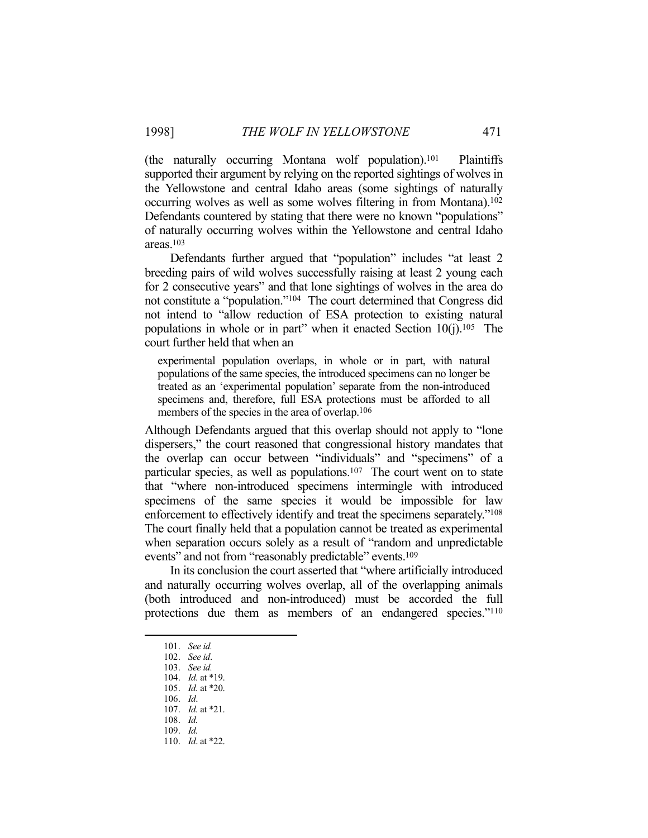(the naturally occurring Montana wolf population).101 Plaintiffs supported their argument by relying on the reported sightings of wolves in the Yellowstone and central Idaho areas (some sightings of naturally occurring wolves as well as some wolves filtering in from Montana).102 Defendants countered by stating that there were no known "populations" of naturally occurring wolves within the Yellowstone and central Idaho areas.103

 Defendants further argued that "population" includes "at least 2 breeding pairs of wild wolves successfully raising at least 2 young each for 2 consecutive years" and that lone sightings of wolves in the area do not constitute a "population."104 The court determined that Congress did not intend to "allow reduction of ESA protection to existing natural populations in whole or in part" when it enacted Section  $10(i)$ .<sup>105</sup> The court further held that when an

experimental population overlaps, in whole or in part, with natural populations of the same species, the introduced specimens can no longer be treated as an 'experimental population' separate from the non-introduced specimens and, therefore, full ESA protections must be afforded to all members of the species in the area of overlap.<sup>106</sup>

Although Defendants argued that this overlap should not apply to "lone dispersers," the court reasoned that congressional history mandates that the overlap can occur between "individuals" and "specimens" of a particular species, as well as populations.107 The court went on to state that "where non-introduced specimens intermingle with introduced specimens of the same species it would be impossible for law enforcement to effectively identify and treat the specimens separately."108 The court finally held that a population cannot be treated as experimental when separation occurs solely as a result of "random and unpredictable events" and not from "reasonably predictable" events.<sup>109</sup>

 In its conclusion the court asserted that "where artificially introduced and naturally occurring wolves overlap, all of the overlapping animals (both introduced and non-introduced) must be accorded the full protections due them as members of an endangered species."110

 <sup>101.</sup> *See id.*

 <sup>102.</sup> *See id*.

 <sup>103.</sup> *See id.* 

 <sup>104.</sup> *Id.* at \*19.

 <sup>105.</sup> *Id.* at \*20.

 <sup>106.</sup> *Id*.

 <sup>107.</sup> *Id.* at \*21.

 <sup>108.</sup> *Id.*

 <sup>109.</sup> *Id.*

 <sup>110.</sup> *Id*. at \*22.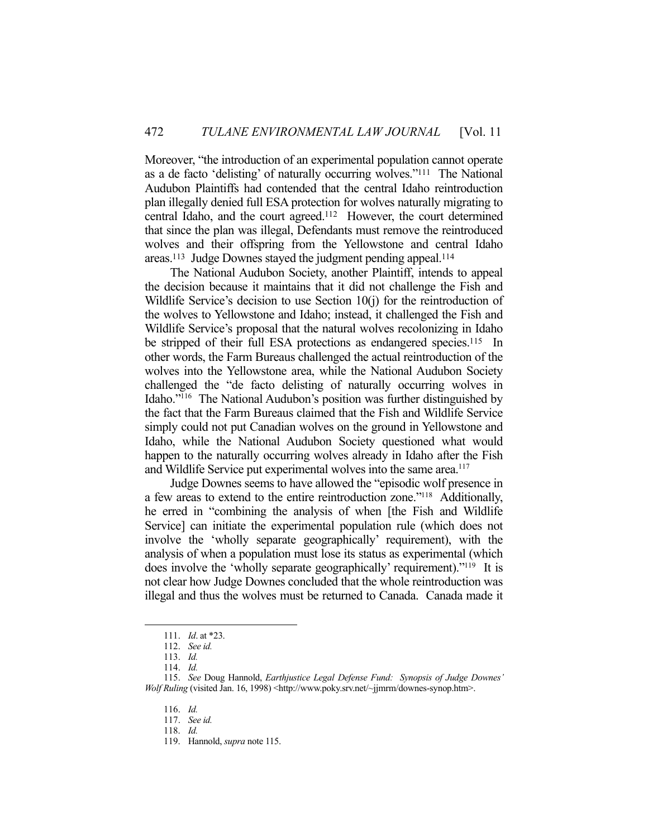Moreover, "the introduction of an experimental population cannot operate as a de facto 'delisting' of naturally occurring wolves."111 The National Audubon Plaintiffs had contended that the central Idaho reintroduction plan illegally denied full ESA protection for wolves naturally migrating to central Idaho, and the court agreed.112 However, the court determined that since the plan was illegal, Defendants must remove the reintroduced wolves and their offspring from the Yellowstone and central Idaho areas.113 Judge Downes stayed the judgment pending appeal.114

 The National Audubon Society, another Plaintiff, intends to appeal the decision because it maintains that it did not challenge the Fish and Wildlife Service's decision to use Section 10(j) for the reintroduction of the wolves to Yellowstone and Idaho; instead, it challenged the Fish and Wildlife Service's proposal that the natural wolves recolonizing in Idaho be stripped of their full ESA protections as endangered species.<sup>115</sup> In other words, the Farm Bureaus challenged the actual reintroduction of the wolves into the Yellowstone area, while the National Audubon Society challenged the "de facto delisting of naturally occurring wolves in Idaho."116 The National Audubon's position was further distinguished by the fact that the Farm Bureaus claimed that the Fish and Wildlife Service simply could not put Canadian wolves on the ground in Yellowstone and Idaho, while the National Audubon Society questioned what would happen to the naturally occurring wolves already in Idaho after the Fish and Wildlife Service put experimental wolves into the same area. 117

 Judge Downes seems to have allowed the "episodic wolf presence in a few areas to extend to the entire reintroduction zone."118 Additionally, he erred in "combining the analysis of when [the Fish and Wildlife Service] can initiate the experimental population rule (which does not involve the 'wholly separate geographically' requirement), with the analysis of when a population must lose its status as experimental (which does involve the 'wholly separate geographically' requirement)."119 It is not clear how Judge Downes concluded that the whole reintroduction was illegal and thus the wolves must be returned to Canada. Canada made it

<u>.</u>

118. *Id.*

 <sup>111.</sup> *Id*. at \*23.

 <sup>112.</sup> *See id.* 

 <sup>113.</sup> *Id.*

 <sup>114.</sup> *Id.* 

 <sup>115.</sup> *See* Doug Hannold, *Earthjustice Legal Defense Fund: Synopsis of Judge Downes' Wolf Ruling* (visited Jan. 16, 1998) <http://www.poky.srv.net/~jjmrm/downes-synop.htm>.

 <sup>116.</sup> *Id.*

 <sup>117.</sup> *See id.*

 <sup>119.</sup> Hannold, *supra* note 115.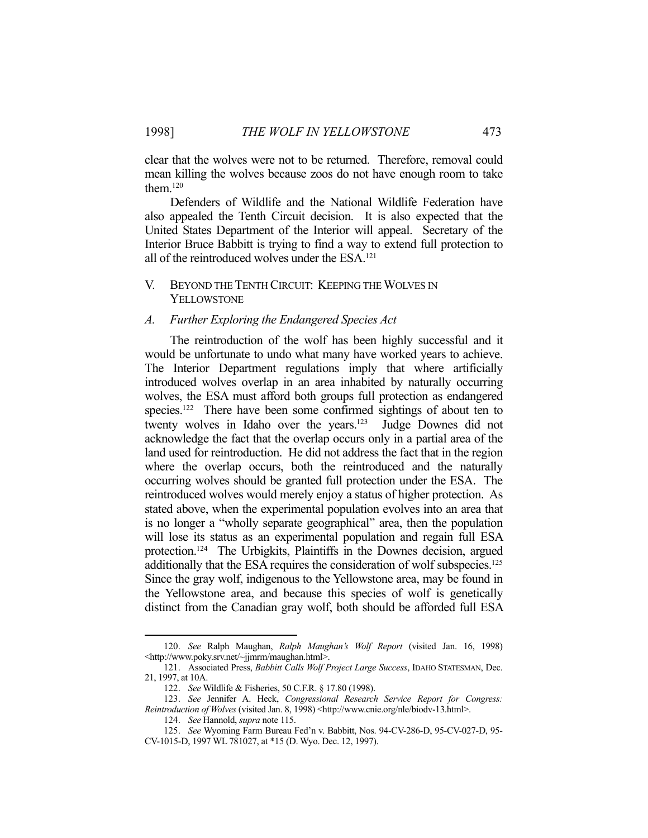clear that the wolves were not to be returned. Therefore, removal could mean killing the wolves because zoos do not have enough room to take them.120

 Defenders of Wildlife and the National Wildlife Federation have also appealed the Tenth Circuit decision. It is also expected that the United States Department of the Interior will appeal. Secretary of the Interior Bruce Babbitt is trying to find a way to extend full protection to all of the reintroduced wolves under the ESA.<sup>121</sup>

## V. BEYOND THE TENTH CIRCUIT: KEEPING THE WOLVES IN YELLOWSTONE

#### *A. Further Exploring the Endangered Species Act*

 The reintroduction of the wolf has been highly successful and it would be unfortunate to undo what many have worked years to achieve. The Interior Department regulations imply that where artificially introduced wolves overlap in an area inhabited by naturally occurring wolves, the ESA must afford both groups full protection as endangered species.<sup>122</sup> There have been some confirmed sightings of about ten to twenty wolves in Idaho over the years.<sup>123</sup> Judge Downes did not acknowledge the fact that the overlap occurs only in a partial area of the land used for reintroduction. He did not address the fact that in the region where the overlap occurs, both the reintroduced and the naturally occurring wolves should be granted full protection under the ESA. The reintroduced wolves would merely enjoy a status of higher protection. As stated above, when the experimental population evolves into an area that is no longer a "wholly separate geographical" area, then the population will lose its status as an experimental population and regain full ESA protection.124 The Urbigkits, Plaintiffs in the Downes decision, argued additionally that the ESA requires the consideration of wolf subspecies.125 Since the gray wolf, indigenous to the Yellowstone area, may be found in the Yellowstone area, and because this species of wolf is genetically distinct from the Canadian gray wolf, both should be afforded full ESA

 <sup>120.</sup> *See* Ralph Maughan, *Ralph Maughan's Wolf Report* (visited Jan. 16, 1998) <http://www.poky.srv.net/~jjmrm/maughan.html>.

 <sup>121.</sup> Associated Press, *Babbitt Calls Wolf Project Large Success*, IDAHO STATESMAN, Dec. 21, 1997, at 10A.

 <sup>122.</sup> *See* Wildlife & Fisheries, 50 C.F.R. § 17.80 (1998).

 <sup>123.</sup> *See* Jennifer A. Heck, *Congressional Research Service Report for Congress: Reintroduction of Wolves* (visited Jan. 8, 1998) <http://www.cnie.org/nle/biodv-13.html>.

 <sup>124.</sup> *See* Hannold, *supra* note 115.

 <sup>125.</sup> *See* Wyoming Farm Bureau Fed'n v. Babbitt, Nos. 94-CV-286-D, 95-CV-027-D, 95- CV-1015-D, 1997 WL 781027, at \*15 (D. Wyo. Dec. 12, 1997).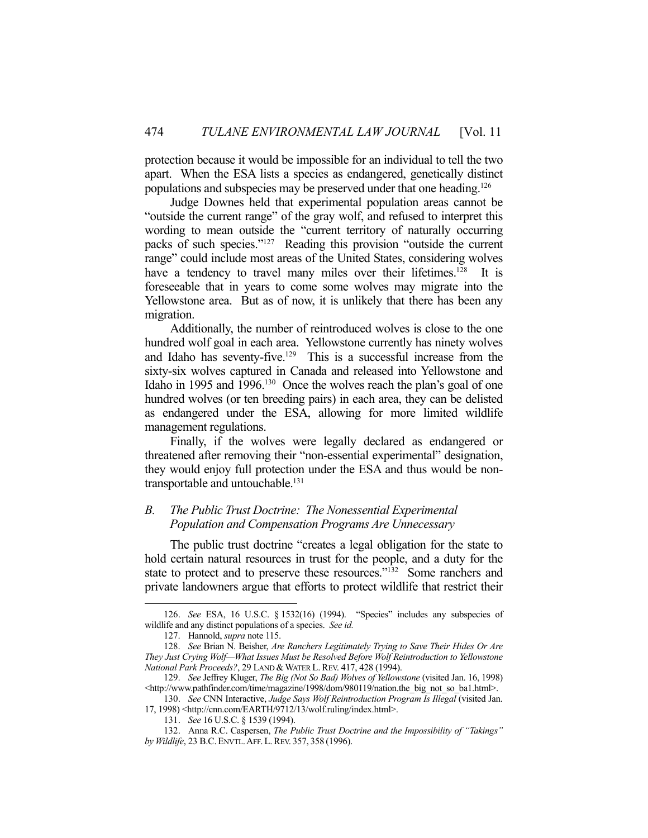protection because it would be impossible for an individual to tell the two apart. When the ESA lists a species as endangered, genetically distinct populations and subspecies may be preserved under that one heading.126

 Judge Downes held that experimental population areas cannot be "outside the current range" of the gray wolf, and refused to interpret this wording to mean outside the "current territory of naturally occurring packs of such species."127 Reading this provision "outside the current range" could include most areas of the United States, considering wolves have a tendency to travel many miles over their lifetimes.<sup>128</sup> It is foreseeable that in years to come some wolves may migrate into the Yellowstone area. But as of now, it is unlikely that there has been any migration.

 Additionally, the number of reintroduced wolves is close to the one hundred wolf goal in each area. Yellowstone currently has ninety wolves and Idaho has seventy-five.<sup>129</sup> This is a successful increase from the sixty-six wolves captured in Canada and released into Yellowstone and Idaho in 1995 and 1996.130 Once the wolves reach the plan's goal of one hundred wolves (or ten breeding pairs) in each area, they can be delisted as endangered under the ESA, allowing for more limited wildlife management regulations.

 Finally, if the wolves were legally declared as endangered or threatened after removing their "non-essential experimental" designation, they would enjoy full protection under the ESA and thus would be nontransportable and untouchable.<sup>131</sup>

# *B. The Public Trust Doctrine: The Nonessential Experimental Population and Compensation Programs Are Unnecessary*

The public trust doctrine "creates a legal obligation for the state to hold certain natural resources in trust for the people, and a duty for the state to protect and to preserve these resources."<sup>132</sup> Some ranchers and private landowners argue that efforts to protect wildlife that restrict their

 <sup>126.</sup> *See* ESA, 16 U.S.C. § 1532(16) (1994). "Species" includes any subspecies of wildlife and any distinct populations of a species. *See id.*

 <sup>127.</sup> Hannold, *supra* note 115.

 <sup>128.</sup> *See* Brian N. Beisher, *Are Ranchers Legitimately Trying to Save Their Hides Or Are They Just Crying Wolf—What Issues Must be Resolved Before Wolf Reintroduction to Yellowstone National Park Proceeds?, 29 LAND & WATER L. REV. 417, 428 (1994).* 

 <sup>129.</sup> *See* Jeffrey Kluger, *The Big (Not So Bad) Wolves of Yellowstone* (visited Jan. 16, 1998) <http://www.pathfinder.com/time/magazine/1998/dom/980119/nation.the\_big\_not\_so\_ba1.html>.

 <sup>130.</sup> *See* CNN Interactive, *Judge Says Wolf Reintroduction Program Is Illegal* (visited Jan.

<sup>17, 1998) &</sup>lt;http://cnn.com/EARTH/9712/13/wolf.ruling/index.html>.

 <sup>131.</sup> *See* 16 U.S.C. § 1539 (1994).

 <sup>132.</sup> Anna R.C. Caspersen, *The Public Trust Doctrine and the Impossibility of "Takings" by Wildlife*, 23 B.C. ENVTL.AFF. L.REV. 357, 358 (1996).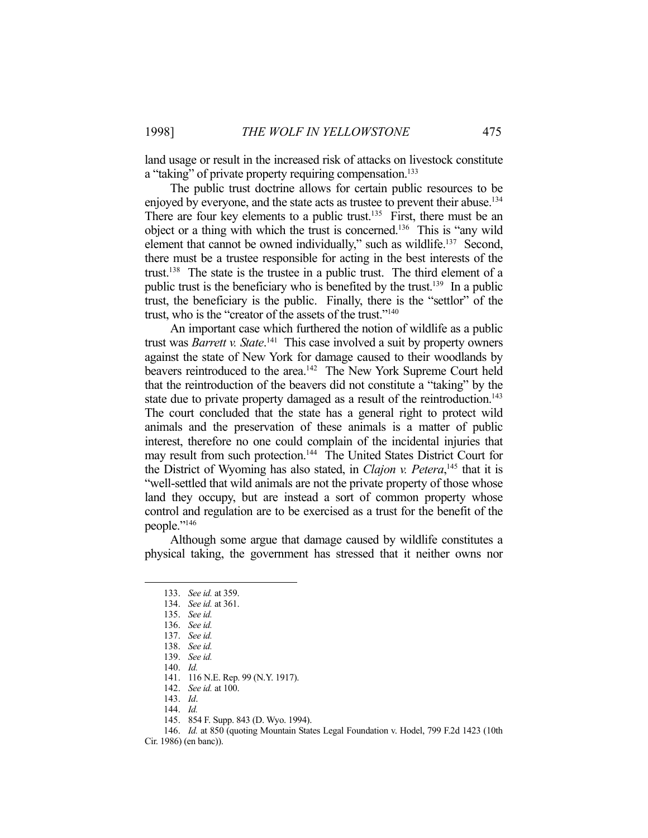land usage or result in the increased risk of attacks on livestock constitute a "taking" of private property requiring compensation.<sup>133</sup>

 The public trust doctrine allows for certain public resources to be enjoyed by everyone, and the state acts as trustee to prevent their abuse.<sup>134</sup> There are four key elements to a public trust.<sup>135</sup> First, there must be an object or a thing with which the trust is concerned.136 This is "any wild element that cannot be owned individually," such as wildlife.<sup>137</sup> Second, there must be a trustee responsible for acting in the best interests of the trust.138 The state is the trustee in a public trust. The third element of a public trust is the beneficiary who is benefited by the trust.139 In a public trust, the beneficiary is the public. Finally, there is the "settlor" of the trust, who is the "creator of the assets of the trust."140

 An important case which furthered the notion of wildlife as a public trust was *Barrett v. State*. 141 This case involved a suit by property owners against the state of New York for damage caused to their woodlands by beavers reintroduced to the area.<sup>142</sup> The New York Supreme Court held that the reintroduction of the beavers did not constitute a "taking" by the state due to private property damaged as a result of the reintroduction.<sup>143</sup> The court concluded that the state has a general right to protect wild animals and the preservation of these animals is a matter of public interest, therefore no one could complain of the incidental injuries that may result from such protection.<sup>144</sup> The United States District Court for the District of Wyoming has also stated, in *Clajon v. Petera*, 145 that it is "well-settled that wild animals are not the private property of those whose land they occupy, but are instead a sort of common property whose control and regulation are to be exercised as a trust for the benefit of the people."<sup>146</sup>

 Although some argue that damage caused by wildlife constitutes a physical taking, the government has stressed that it neither owns nor

 <sup>133.</sup> *See id.* at 359.

 <sup>134.</sup> *See id.* at 361.

 <sup>135.</sup> *See id.*

 <sup>136.</sup> *See id.*

 <sup>137.</sup> *See id.*

 <sup>138.</sup> *See id.*

 <sup>139.</sup> *See id.*

 <sup>140.</sup> *Id.*

 <sup>141. 116</sup> N.E. Rep. 99 (N.Y. 1917).

 <sup>142.</sup> *See id.* at 100.

 <sup>143.</sup> *Id*.

 <sup>144.</sup> *Id.*

 <sup>145. 854</sup> F. Supp. 843 (D. Wyo. 1994).

 <sup>146.</sup> *Id.* at 850 (quoting Mountain States Legal Foundation v. Hodel, 799 F.2d 1423 (10th

Cir. 1986) (en banc)).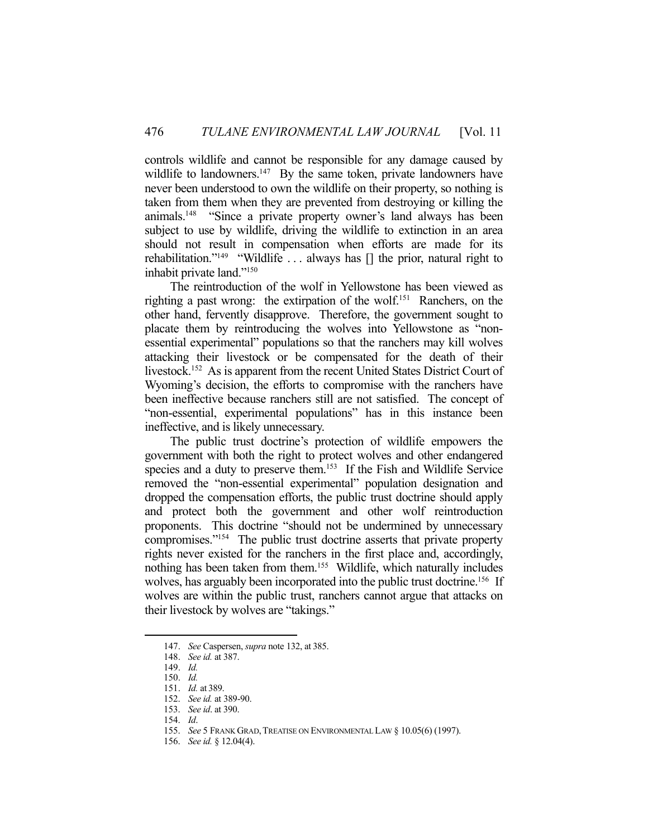controls wildlife and cannot be responsible for any damage caused by wildlife to landowners.<sup>147</sup> By the same token, private landowners have never been understood to own the wildlife on their property, so nothing is taken from them when they are prevented from destroying or killing the animals.148 "Since a private property owner's land always has been subject to use by wildlife, driving the wildlife to extinction in an area should not result in compensation when efforts are made for its rehabilitation."<sup>149</sup> "Wildlife ... always has  $\lceil \rceil$  the prior, natural right to inhabit private land."150

 The reintroduction of the wolf in Yellowstone has been viewed as righting a past wrong: the extirpation of the wolf.151 Ranchers, on the other hand, fervently disapprove. Therefore, the government sought to placate them by reintroducing the wolves into Yellowstone as "nonessential experimental" populations so that the ranchers may kill wolves attacking their livestock or be compensated for the death of their livestock.<sup>152</sup> As is apparent from the recent United States District Court of Wyoming's decision, the efforts to compromise with the ranchers have been ineffective because ranchers still are not satisfied. The concept of "non-essential, experimental populations" has in this instance been ineffective, and is likely unnecessary.

 The public trust doctrine's protection of wildlife empowers the government with both the right to protect wolves and other endangered species and a duty to preserve them.<sup>153</sup> If the Fish and Wildlife Service removed the "non-essential experimental" population designation and dropped the compensation efforts, the public trust doctrine should apply and protect both the government and other wolf reintroduction proponents. This doctrine "should not be undermined by unnecessary compromises."154 The public trust doctrine asserts that private property rights never existed for the ranchers in the first place and, accordingly, nothing has been taken from them.155 Wildlife, which naturally includes wolves, has arguably been incorporated into the public trust doctrine.<sup>156</sup> If wolves are within the public trust, ranchers cannot argue that attacks on their livestock by wolves are "takings."

 <sup>147.</sup> *See* Caspersen, *supra* note 132, at 385.

 <sup>148.</sup> *See id.* at 387.

 <sup>149.</sup> *Id.*

 <sup>150.</sup> *Id.*

 <sup>151.</sup> *Id.* at 389.

 <sup>152.</sup> *See id.* at 389-90.

 <sup>153.</sup> *See id*. at 390.

 <sup>154.</sup> *Id*.

<sup>155.</sup> *See* 5 FRANK GRAD, TREATISE ON ENVIRONMENTAL LAW § 10.05(6) (1997).

 <sup>156.</sup> *See id.* § 12.04(4).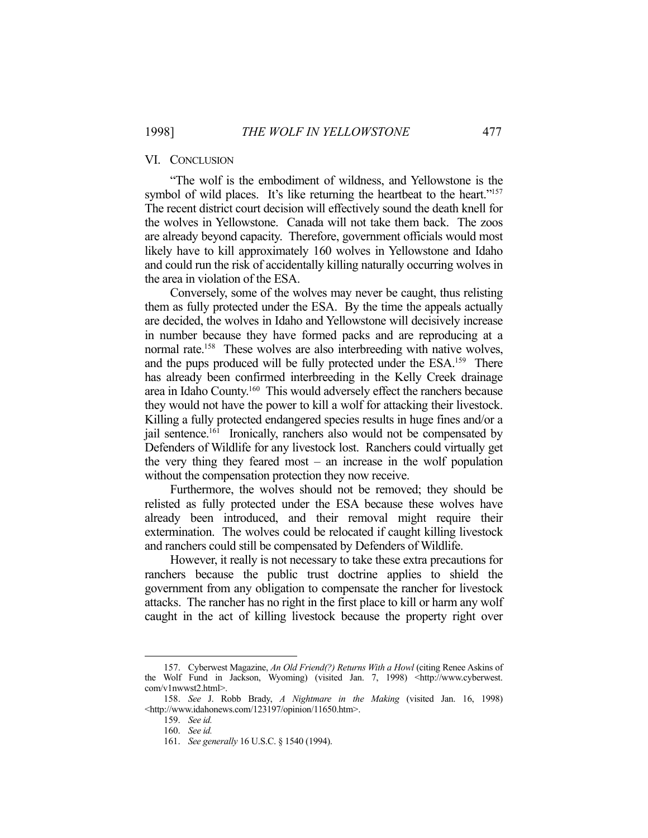#### VI. CONCLUSION

 "The wolf is the embodiment of wildness, and Yellowstone is the symbol of wild places. It's like returning the heartbeat to the heart."<sup>157</sup> The recent district court decision will effectively sound the death knell for the wolves in Yellowstone. Canada will not take them back. The zoos are already beyond capacity. Therefore, government officials would most likely have to kill approximately 160 wolves in Yellowstone and Idaho and could run the risk of accidentally killing naturally occurring wolves in the area in violation of the ESA.

 Conversely, some of the wolves may never be caught, thus relisting them as fully protected under the ESA. By the time the appeals actually are decided, the wolves in Idaho and Yellowstone will decisively increase in number because they have formed packs and are reproducing at a normal rate.<sup>158</sup> These wolves are also interbreeding with native wolves, and the pups produced will be fully protected under the ESA.<sup>159</sup> There has already been confirmed interbreeding in the Kelly Creek drainage area in Idaho County.<sup>160</sup> This would adversely effect the ranchers because they would not have the power to kill a wolf for attacking their livestock. Killing a fully protected endangered species results in huge fines and/or a jail sentence.<sup>161</sup> Ironically, ranchers also would not be compensated by Defenders of Wildlife for any livestock lost. Ranchers could virtually get the very thing they feared most – an increase in the wolf population without the compensation protection they now receive.

 Furthermore, the wolves should not be removed; they should be relisted as fully protected under the ESA because these wolves have already been introduced, and their removal might require their extermination. The wolves could be relocated if caught killing livestock and ranchers could still be compensated by Defenders of Wildlife.

 However, it really is not necessary to take these extra precautions for ranchers because the public trust doctrine applies to shield the government from any obligation to compensate the rancher for livestock attacks. The rancher has no right in the first place to kill or harm any wolf caught in the act of killing livestock because the property right over

 <sup>157.</sup> Cyberwest Magazine, *An Old Friend(?) Returns With a Howl* (citing Renee Askins of the Wolf Fund in Jackson, Wyoming) (visited Jan. 7, 1998) <http://www.cyberwest. com/v1nwwst2.html>.

 <sup>158.</sup> *See* J. Robb Brady, *A Nightmare in the Making* (visited Jan. 16, 1998) <http://www.idahonews.com/123197/opinion/11650.htm>.

 <sup>159.</sup> *See id.*

 <sup>160.</sup> *See id.*

 <sup>161.</sup> *See generally* 16 U.S.C. § 1540 (1994).